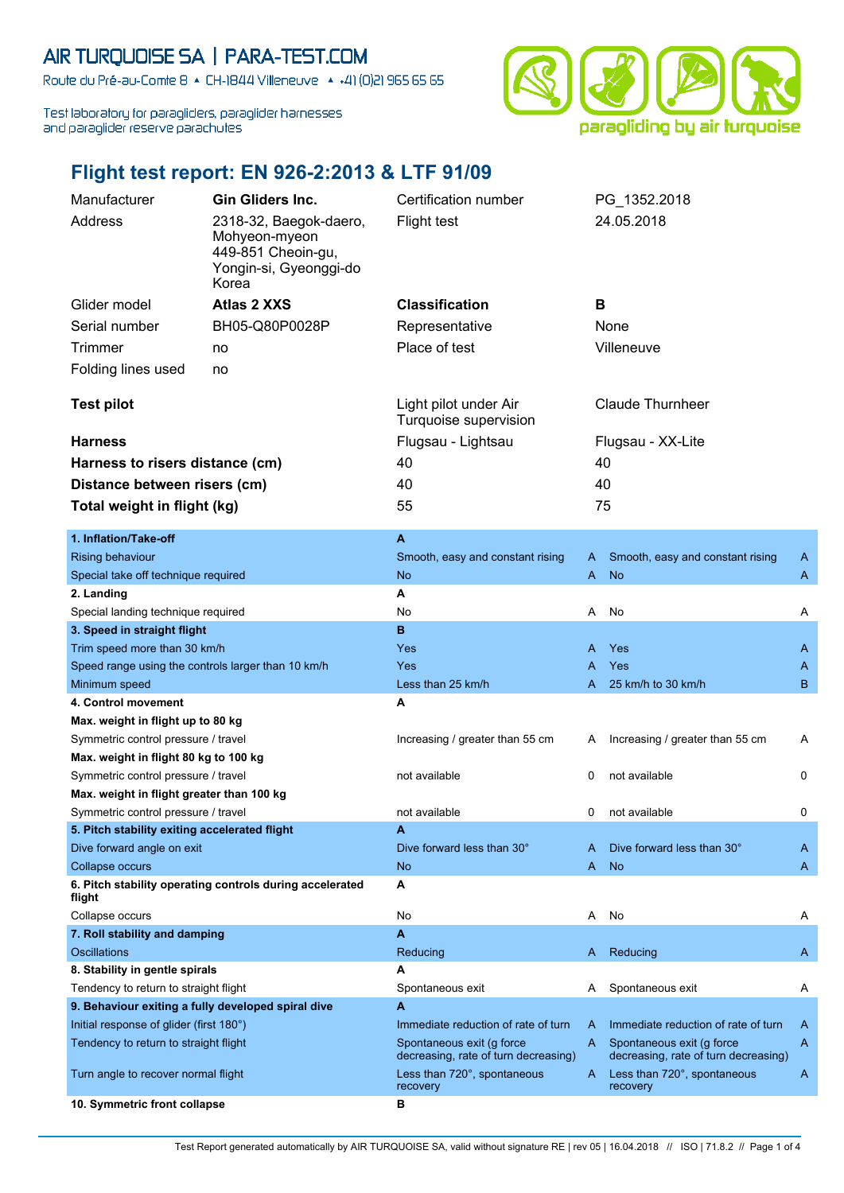## AIR TURQUOISE SA | PARA-TEST.COM

Route du Pré-au-Comte 8 & CH-1844 Villeneuve | 4 +41 (0)21 965 65 65

Test laboratory for paragliders, paraglider harnesses and paraglider reserve parachutes



## **Flight test report: EN 926-2:2013 & LTF 91/09**

| Manufacturer                                                                                  | <b>Gin Gliders Inc.</b>                                                                 | Certification number                                                |                   | PG_1352.2018                                                        |   |
|-----------------------------------------------------------------------------------------------|-----------------------------------------------------------------------------------------|---------------------------------------------------------------------|-------------------|---------------------------------------------------------------------|---|
| Address                                                                                       | 2318-32, Baegok-daero,<br>Mohyeon-myeon<br>449-851 Cheoin-gu,<br>Yongin-si, Gyeonggi-do | <b>Flight test</b>                                                  |                   | 24.05.2018                                                          |   |
|                                                                                               | Korea                                                                                   |                                                                     |                   |                                                                     |   |
| Glider model                                                                                  | <b>Atlas 2 XXS</b>                                                                      | <b>Classification</b>                                               | B                 |                                                                     |   |
| Serial number                                                                                 | BH05-Q80P0028P                                                                          | Representative                                                      |                   | None                                                                |   |
| Trimmer<br>no                                                                                 |                                                                                         | Place of test                                                       |                   | Villeneuve                                                          |   |
| Folding lines used                                                                            | no                                                                                      |                                                                     |                   |                                                                     |   |
| <b>Test pilot</b>                                                                             |                                                                                         | Light pilot under Air<br>Turquoise supervision                      |                   | <b>Claude Thurnheer</b>                                             |   |
| <b>Harness</b>                                                                                |                                                                                         | Flugsau - Lightsau                                                  | Flugsau - XX-Lite |                                                                     |   |
| Harness to risers distance (cm)                                                               |                                                                                         | 40                                                                  | 40                |                                                                     |   |
| Distance between risers (cm)                                                                  |                                                                                         | 40                                                                  | 40                |                                                                     |   |
|                                                                                               |                                                                                         | 55                                                                  | 75                |                                                                     |   |
| Total weight in flight (kg)                                                                   |                                                                                         |                                                                     |                   |                                                                     |   |
| 1. Inflation/Take-off                                                                         |                                                                                         | $\blacktriangle$                                                    |                   |                                                                     |   |
| <b>Rising behaviour</b>                                                                       |                                                                                         | Smooth, easy and constant rising                                    | A                 | Smooth, easy and constant rising                                    | A |
| Special take off technique required                                                           |                                                                                         | <b>No</b>                                                           | A                 | <b>No</b>                                                           | A |
| 2. Landing                                                                                    |                                                                                         | A                                                                   |                   |                                                                     |   |
| Special landing technique required                                                            |                                                                                         | No                                                                  | Α                 | No                                                                  | Α |
| 3. Speed in straight flight                                                                   |                                                                                         | в                                                                   |                   |                                                                     |   |
| Trim speed more than 30 km/h                                                                  |                                                                                         | Yes                                                                 | A                 | Yes                                                                 | A |
| Speed range using the controls larger than 10 km/h                                            |                                                                                         | <b>Yes</b>                                                          | A                 | Yes                                                                 | A |
| Minimum speed                                                                                 |                                                                                         | Less than 25 km/h                                                   | A                 | 25 km/h to 30 km/h                                                  | B |
| 4. Control movement                                                                           |                                                                                         | A                                                                   |                   |                                                                     |   |
| Max. weight in flight up to 80 kg                                                             |                                                                                         |                                                                     |                   |                                                                     |   |
| Symmetric control pressure / travel                                                           |                                                                                         | Increasing / greater than 55 cm                                     | A                 | Increasing / greater than 55 cm                                     | A |
| Max. weight in flight 80 kg to 100 kg<br>Symmetric control pressure / travel                  |                                                                                         | not available                                                       | 0                 | not available                                                       | 0 |
| Max. weight in flight greater than 100 kg                                                     |                                                                                         |                                                                     |                   |                                                                     |   |
| Symmetric control pressure / travel                                                           |                                                                                         | not available                                                       | 0                 | not available                                                       | 0 |
| 5. Pitch stability exiting accelerated flight                                                 |                                                                                         | A                                                                   |                   |                                                                     |   |
| Dive forward angle on exit                                                                    |                                                                                         | Dive forward less than 30°                                          | A                 | Dive forward less than 30°                                          | A |
| Collapse occurs                                                                               |                                                                                         | N <sub>o</sub>                                                      | A                 | <b>No</b>                                                           | A |
| flight                                                                                        | 6. Pitch stability operating controls during accelerated                                | Α                                                                   |                   |                                                                     |   |
| Collapse occurs                                                                               |                                                                                         | No                                                                  | Α                 | No                                                                  | Α |
| 7. Roll stability and damping                                                                 |                                                                                         | A                                                                   |                   |                                                                     |   |
| Oscillations                                                                                  |                                                                                         | Reducing                                                            | A                 | Reducing                                                            | A |
| 8. Stability in gentle spirals                                                                |                                                                                         | А<br>Spontaneous exit                                               | A                 | Spontaneous exit                                                    |   |
| Tendency to return to straight flight                                                         |                                                                                         | A                                                                   |                   |                                                                     | A |
| 9. Behaviour exiting a fully developed spiral dive<br>Initial response of glider (first 180°) |                                                                                         | Immediate reduction of rate of turn                                 | A                 | Immediate reduction of rate of turn                                 | A |
| Tendency to return to straight flight                                                         |                                                                                         | Spontaneous exit (g force                                           | A                 | Spontaneous exit (g force                                           | A |
| Turn angle to recover normal flight                                                           |                                                                                         | decreasing, rate of turn decreasing)<br>Less than 720°, spontaneous | A                 | decreasing, rate of turn decreasing)<br>Less than 720°, spontaneous | A |
|                                                                                               |                                                                                         | recovery                                                            |                   | recovery                                                            |   |
| 10. Symmetric front collapse                                                                  |                                                                                         | в                                                                   |                   |                                                                     |   |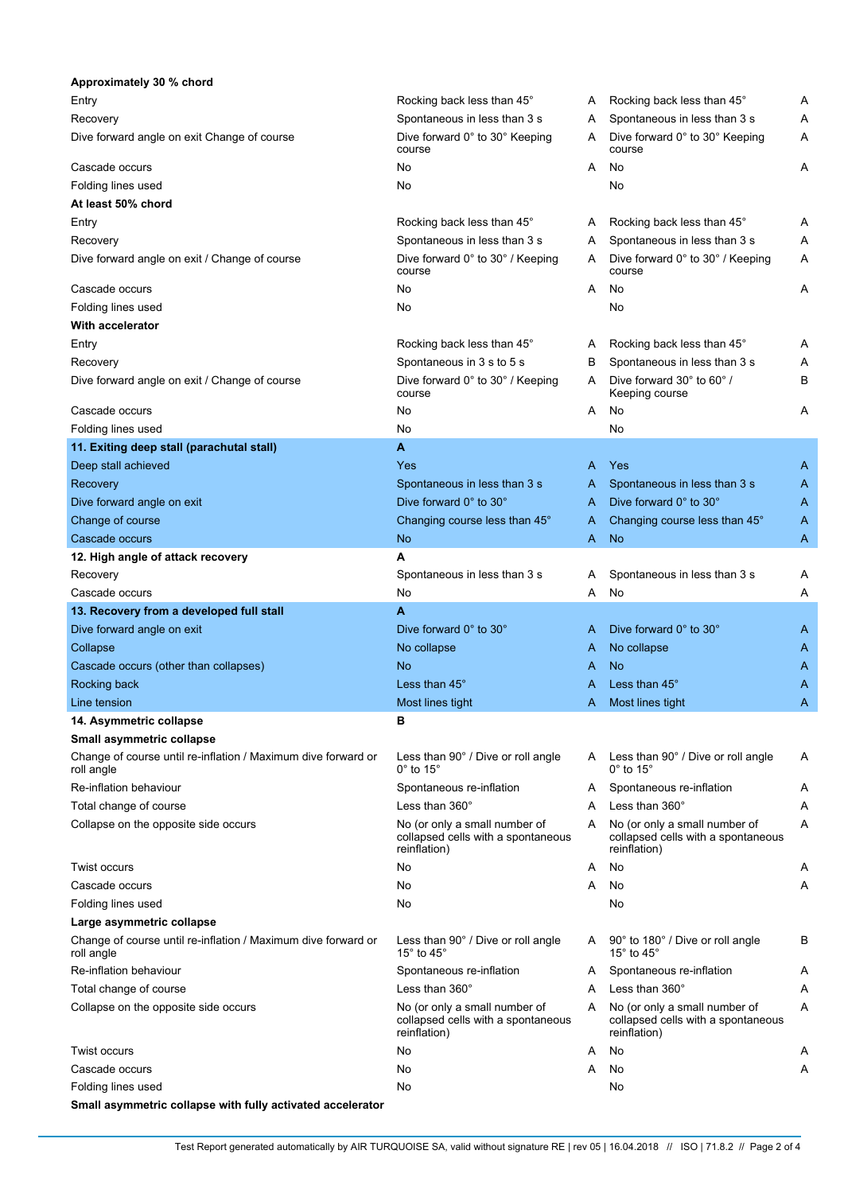| Approximately 30 % chord                                                    |                                                                                     |   |                                                                                     |   |
|-----------------------------------------------------------------------------|-------------------------------------------------------------------------------------|---|-------------------------------------------------------------------------------------|---|
| Entry                                                                       | Rocking back less than 45°                                                          | A | Rocking back less than 45°                                                          | Α |
| Recovery                                                                    | Spontaneous in less than 3 s                                                        | A | Spontaneous in less than 3 s                                                        | Α |
| Dive forward angle on exit Change of course                                 | Dive forward 0° to 30° Keeping<br>course                                            | A | Dive forward 0° to 30° Keeping<br>course                                            | Α |
| Cascade occurs                                                              | No                                                                                  | A | No                                                                                  | Α |
| Folding lines used                                                          | No                                                                                  |   | No                                                                                  |   |
| At least 50% chord                                                          |                                                                                     |   |                                                                                     |   |
| Entry                                                                       | Rocking back less than 45°                                                          | Α | Rocking back less than 45°                                                          | Α |
| Recovery                                                                    | Spontaneous in less than 3 s                                                        | Α | Spontaneous in less than 3 s                                                        | Α |
| Dive forward angle on exit / Change of course                               | Dive forward 0° to 30° / Keeping<br>course                                          | A | Dive forward 0° to 30° / Keeping<br>course                                          | Α |
| Cascade occurs                                                              | No                                                                                  | A | No                                                                                  | Α |
| Folding lines used                                                          | No                                                                                  |   | No                                                                                  |   |
| With accelerator                                                            |                                                                                     |   |                                                                                     |   |
| Entry                                                                       | Rocking back less than 45°                                                          | Α | Rocking back less than 45°                                                          | Α |
| Recovery                                                                    | Spontaneous in 3 s to 5 s                                                           | в | Spontaneous in less than 3 s                                                        | Α |
| Dive forward angle on exit / Change of course                               | Dive forward 0° to 30° / Keeping<br>course                                          | A | Dive forward 30° to 60°/<br>Keeping course                                          | В |
| Cascade occurs                                                              | No                                                                                  | A | No                                                                                  | Α |
| Folding lines used                                                          | No                                                                                  |   | No                                                                                  |   |
| 11. Exiting deep stall (parachutal stall)                                   | A                                                                                   |   |                                                                                     |   |
| Deep stall achieved                                                         | Yes                                                                                 | A | Yes                                                                                 | Α |
| Recovery                                                                    | Spontaneous in less than 3 s                                                        | A | Spontaneous in less than 3 s                                                        | Α |
| Dive forward angle on exit                                                  | Dive forward 0° to 30°                                                              | A | Dive forward 0° to 30°                                                              | Α |
| Change of course                                                            | Changing course less than 45°                                                       | A | Changing course less than 45°                                                       | Α |
| Cascade occurs                                                              | No                                                                                  | A | N <sub>o</sub>                                                                      | A |
| 12. High angle of attack recovery                                           | А                                                                                   |   |                                                                                     |   |
| Recovery                                                                    | Spontaneous in less than 3 s                                                        | A | Spontaneous in less than 3 s                                                        | Α |
| Cascade occurs                                                              | No                                                                                  | Α | No                                                                                  | Α |
| 13. Recovery from a developed full stall                                    | A                                                                                   |   |                                                                                     |   |
| Dive forward angle on exit                                                  | Dive forward 0° to 30°                                                              | A | Dive forward 0° to 30°                                                              | A |
| Collapse                                                                    | No collapse                                                                         | A | No collapse                                                                         | A |
| Cascade occurs (other than collapses)                                       | No                                                                                  | A | N <sub>o</sub>                                                                      | A |
| Rocking back                                                                | Less than 45°                                                                       | A | Less than 45°                                                                       | Α |
| Line tension                                                                | Most lines tight                                                                    | A | Most lines tight                                                                    | Α |
| 14. Asymmetric collapse                                                     | в                                                                                   |   |                                                                                     |   |
| Small asymmetric collapse                                                   |                                                                                     |   |                                                                                     |   |
| Change of course until re-inflation / Maximum dive forward or<br>roll angle | Less than 90° / Dive or roll angle<br>$0^\circ$ to 15 $^\circ$                      | A | Less than 90° / Dive or roll angle<br>$0^\circ$ to 15 $^\circ$                      | Α |
| Re-inflation behaviour                                                      | Spontaneous re-inflation                                                            | A | Spontaneous re-inflation                                                            | A |
| Total change of course                                                      | Less than $360^\circ$                                                               | A | Less than 360°                                                                      | Α |
| Collapse on the opposite side occurs                                        | No (or only a small number of<br>collapsed cells with a spontaneous<br>reinflation) | A | No (or only a small number of<br>collapsed cells with a spontaneous<br>reinflation) | Α |
| <b>Twist occurs</b>                                                         | No                                                                                  | Α | No                                                                                  | Α |
| Cascade occurs                                                              | No                                                                                  | A | No                                                                                  | Α |
| Folding lines used                                                          | No                                                                                  |   | No                                                                                  |   |
| Large asymmetric collapse                                                   |                                                                                     |   |                                                                                     |   |
| Change of course until re-inflation / Maximum dive forward or<br>roll angle | Less than 90° / Dive or roll angle<br>15 $\degree$ to 45 $\degree$                  | A | 90° to 180° / Dive or roll angle<br>15 $^{\circ}$ to 45 $^{\circ}$                  | В |
| Re-inflation behaviour                                                      | Spontaneous re-inflation                                                            | A | Spontaneous re-inflation                                                            | Α |
| Total change of course                                                      | Less than $360^\circ$                                                               | A | Less than 360°                                                                      | Α |
| Collapse on the opposite side occurs                                        | No (or only a small number of<br>collapsed cells with a spontaneous<br>reinflation) | A | No (or only a small number of<br>collapsed cells with a spontaneous<br>reinflation) | Α |
| Twist occurs                                                                | No                                                                                  | Α | No                                                                                  | Α |
| Cascade occurs                                                              | No                                                                                  | A | No                                                                                  | Α |
| Folding lines used                                                          | No                                                                                  |   | No                                                                                  |   |
| Small asymmetric collapse with fully activated accelerator                  |                                                                                     |   |                                                                                     |   |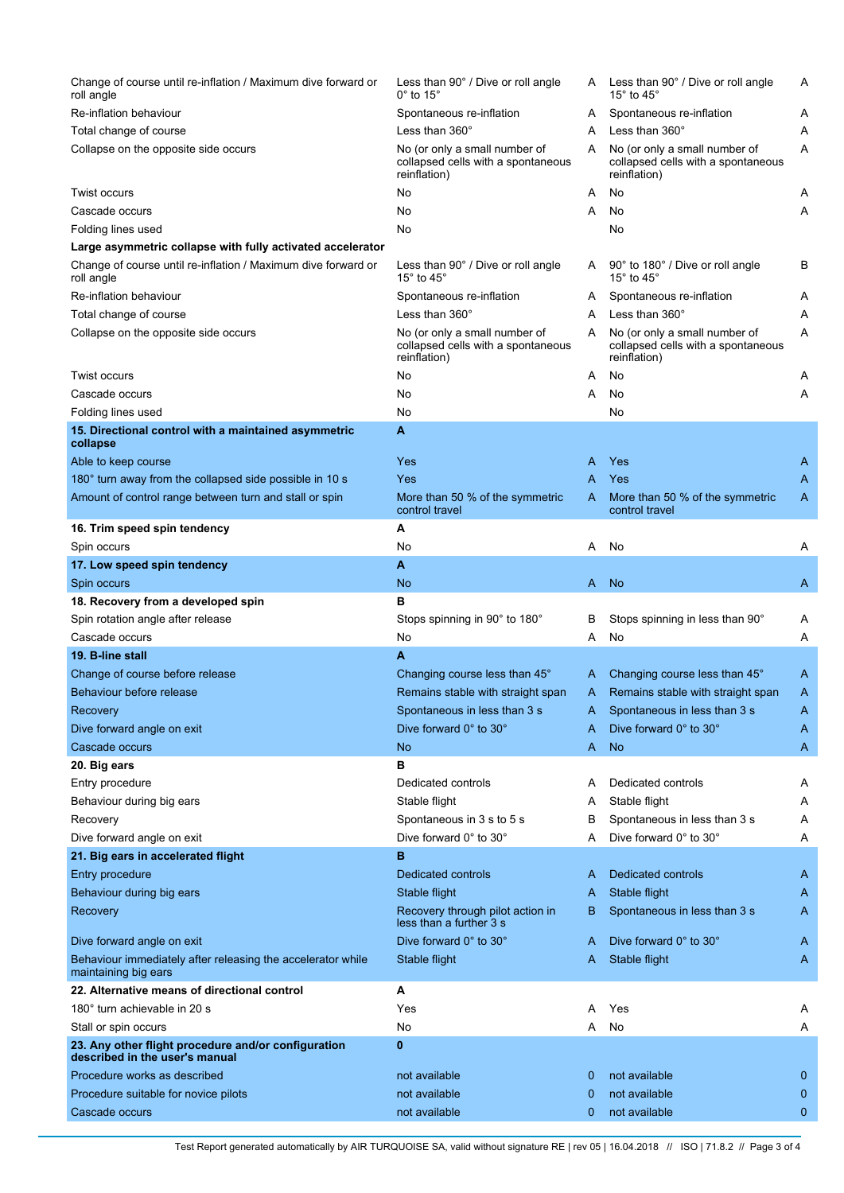| Change of course until re-inflation / Maximum dive forward or<br>roll angle           | Less than 90° / Dive or roll angle<br>$0^\circ$ to 15 $^\circ$                      | A            | Less than 90° / Dive or roll angle<br>15 $^{\circ}$ to 45 $^{\circ}$                | A                   |
|---------------------------------------------------------------------------------------|-------------------------------------------------------------------------------------|--------------|-------------------------------------------------------------------------------------|---------------------|
| Re-inflation behaviour                                                                | Spontaneous re-inflation                                                            | Α            | Spontaneous re-inflation                                                            | A                   |
| Total change of course                                                                | Less than $360^\circ$                                                               | A            | Less than $360^\circ$                                                               | Α                   |
| Collapse on the opposite side occurs                                                  | No (or only a small number of<br>collapsed cells with a spontaneous<br>reinflation) | A            | No (or only a small number of<br>collapsed cells with a spontaneous<br>reinflation) | Α                   |
| <b>Twist occurs</b>                                                                   | No                                                                                  | Α            | No                                                                                  | A                   |
| Cascade occurs                                                                        | No                                                                                  | Α            | No                                                                                  | Α                   |
| Folding lines used                                                                    | No                                                                                  |              | No                                                                                  |                     |
| Large asymmetric collapse with fully activated accelerator                            |                                                                                     |              |                                                                                     |                     |
| Change of course until re-inflation / Maximum dive forward or<br>roll angle           | Less than 90° / Dive or roll angle<br>15 $^{\circ}$ to 45 $^{\circ}$                | A            | 90° to 180° / Dive or roll angle<br>15 $^{\circ}$ to 45 $^{\circ}$                  | В                   |
| Re-inflation behaviour                                                                | Spontaneous re-inflation                                                            | Α            | Spontaneous re-inflation                                                            | A                   |
| Total change of course                                                                | Less than $360^\circ$                                                               | A            | Less than $360^\circ$                                                               | Α                   |
| Collapse on the opposite side occurs                                                  | No (or only a small number of<br>collapsed cells with a spontaneous<br>reinflation) | Α            | No (or only a small number of<br>collapsed cells with a spontaneous<br>reinflation) | Α                   |
| <b>Twist occurs</b>                                                                   | No                                                                                  | A            | No                                                                                  | A                   |
| Cascade occurs                                                                        | No                                                                                  | Α            | No                                                                                  | Α                   |
| Folding lines used                                                                    | No                                                                                  |              | No                                                                                  |                     |
| 15. Directional control with a maintained asymmetric                                  | A                                                                                   |              |                                                                                     |                     |
| collapse                                                                              |                                                                                     |              |                                                                                     |                     |
| Able to keep course                                                                   | Yes                                                                                 | A            | Yes                                                                                 | A                   |
| 180° turn away from the collapsed side possible in 10 s                               | Yes                                                                                 | A            | Yes                                                                                 | A                   |
| Amount of control range between turn and stall or spin                                | More than 50 % of the symmetric<br>control travel                                   | A            | More than 50 % of the symmetric<br>control travel                                   | A                   |
| 16. Trim speed spin tendency                                                          | A                                                                                   |              |                                                                                     |                     |
| Spin occurs                                                                           | No                                                                                  | A            | No.                                                                                 | Α                   |
| 17. Low speed spin tendency                                                           | A                                                                                   |              |                                                                                     |                     |
| Spin occurs                                                                           | <b>No</b>                                                                           | A            | <b>No</b>                                                                           | A                   |
| 18. Recovery from a developed spin                                                    | в                                                                                   |              |                                                                                     |                     |
| Spin rotation angle after release                                                     | Stops spinning in 90° to 180°                                                       | в            | Stops spinning in less than 90°                                                     | A                   |
| Cascade occurs                                                                        | No                                                                                  | Α            | No                                                                                  | Α                   |
| 19. B-line stall                                                                      | A                                                                                   |              |                                                                                     |                     |
| Change of course before release                                                       | Changing course less than 45°                                                       | A            | Changing course less than 45°                                                       | A                   |
| Behaviour before release                                                              | Remains stable with straight span                                                   |              | A Remains stable with straight span                                                 | A                   |
| Recovery                                                                              | Spontaneous in less than 3 s                                                        | $\mathsf{A}$ | Spontaneous in less than 3 s                                                        | $\overline{A}$      |
| Dive forward angle on exit                                                            | Dive forward 0° to 30°                                                              | A            | Dive forward 0° to 30°                                                              | A                   |
| Cascade occurs                                                                        | No                                                                                  | A            | <b>No</b>                                                                           | A                   |
| 20. Big ears                                                                          | в                                                                                   |              |                                                                                     |                     |
| Entry procedure                                                                       | Dedicated controls                                                                  | Α            | Dedicated controls                                                                  | A                   |
| Behaviour during big ears                                                             | Stable flight                                                                       | Α            | Stable flight                                                                       | Α                   |
| Recovery                                                                              | Spontaneous in 3 s to 5 s                                                           | в            | Spontaneous in less than 3 s                                                        | Α                   |
| Dive forward angle on exit                                                            | Dive forward 0° to 30°                                                              | А            | Dive forward 0° to 30°                                                              | Α                   |
| 21. Big ears in accelerated flight                                                    | в                                                                                   |              |                                                                                     |                     |
| Entry procedure                                                                       | Dedicated controls                                                                  | A            | Dedicated controls                                                                  | A                   |
| Behaviour during big ears<br>Recovery                                                 | Stable flight<br>Recovery through pilot action in                                   | A<br>в       | Stable flight<br>Spontaneous in less than 3 s                                       | A<br>$\overline{A}$ |
| Dive forward angle on exit                                                            | less than a further 3 s<br>Dive forward 0° to 30°                                   | A            | Dive forward 0° to 30°                                                              | A                   |
| Behaviour immediately after releasing the accelerator while<br>maintaining big ears   | Stable flight                                                                       | A            | Stable flight                                                                       | A                   |
| 22. Alternative means of directional control                                          | A                                                                                   |              |                                                                                     |                     |
| 180° turn achievable in 20 s                                                          | Yes                                                                                 | A            | Yes                                                                                 | A                   |
| Stall or spin occurs                                                                  | No                                                                                  | A            | No                                                                                  | A                   |
| 23. Any other flight procedure and/or configuration<br>described in the user's manual | $\mathbf{0}$                                                                        |              |                                                                                     |                     |
| Procedure works as described                                                          | not available                                                                       | 0            | not available                                                                       | $\mathbf 0$         |
| Procedure suitable for novice pilots                                                  | not available                                                                       | 0            | not available                                                                       | 0                   |
| Cascade occurs                                                                        | not available                                                                       | 0            | not available                                                                       | $\mathbf{0}$        |
|                                                                                       |                                                                                     |              |                                                                                     |                     |

Test Report generated automatically by AIR TURQUOISE SA, valid without signature RE | rev 05 | 16.04.2018 // ISO | 71.8.2 // Page 3 of 4